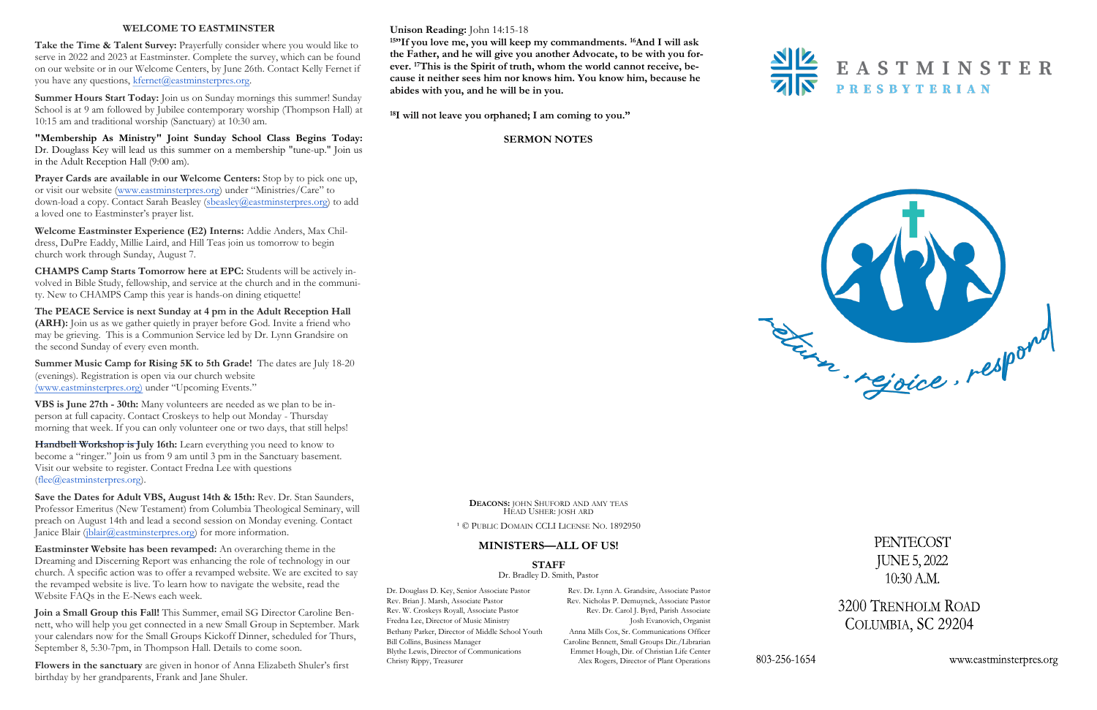#### **Unison Reading:** John 14:15-18

**<sup>15</sup>"If you love me, you will keep my commandments. <sup>16</sup>And I will ask the Father, and he will give you another Advocate, to be with you forever. <sup>17</sup>This is the Spirit of truth, whom the world cannot receive, because it neither sees him nor knows him. You know him, because he abides with you, and he will be in you.**



**<sup>18</sup>I will not leave you orphaned; I am coming to you."**

#### **SERMON NOTES**

#### **WELCOME TO EASTMINSTER**

Take the Time & Talent Survey: Prayerfully consider where you would like to serve in 2022 and 2023 at Eastminster. Complete the survey, which can be found on our website or in our Welcome Centers, by June 26th. Contact Kelly Fernet if you have any questions, kfernet@eastminsterpres.org.

**Summer Hours Start Today:** Join us on Sunday mornings this summer! Sunday School is at 9 am followed by Jubilee contemporary worship (Thompson Hall) at 10:15 am and traditional worship (Sanctuary) at 10:30 am.

**"Membership As Ministry" Joint Sunday School Class Begins Today:**  Dr. Douglass Key will lead us this summer on a membership "tune-up." Join us in the Adult Reception Hall (9:00 am).

**Prayer Cards are available in our Welcome Centers:** Stop by to pick one up, or visit our website [\(www.eastminsterpres.org](http://www.eastminsterpres.org)) under "Ministries/Care" to down-load a copy. Contact Sarah Beasley ([sbeasley@eastminsterpres.org\)](mailto:sbeasley@eastminsterpres.org) to add a loved one to Eastminster's prayer list.

Handbell Workshop is July 16th: Learn everything you need to know to become a "ringer." Join us from 9 am until 3 pm in the Sanctuary basement. Visit our website to register. Contact Fredna Lee with questions [\(flee@eastminsterpres.org\)](mailto:flee@eastminsterpres.org).

Save the Dates for Adult VBS, August 14th & 15th: Rev. Dr. Stan Saunders, Professor Emeritus (New Testament) from Columbia Theological Seminary, will preach on August 14th and lead a second session on Monday evening. Contact Janice Blair ([jblair@eastminsterpres.org\)](mailto:jblair@eastminsterpres.org) for more information.

**Welcome Eastminster Experience (E2) Interns:** Addie Anders, Max Childress, DuPre Eaddy, Millie Laird, and Hill Teas join us tomorrow to begin church work through Sunday, August 7.

**CHAMPS Camp Starts Tomorrow here at EPC:** Students will be actively involved in Bible Study, fellowship, and service at the church and in the community. New to CHAMPS Camp this year is hands-on dining etiquette!

**The PEACE Service is next Sunday at 4 pm in the Adult Reception Hall (ARH):** Join us as we gather quietly in prayer before God. Invite a friend who may be grieving. This is a Communion Service led by Dr. Lynn Grandsire on the second Sunday of every even month.

> Dr. Douglass D. Key, Senior Associate Pastor Rev. Dr. Lynn A. Grandsire, Associate Pastor Alex Rogers, Director of Plant Operations



PENTECOST **JUNE 5, 2022**  $10:30$  A.M.

3200 TRENHOLM ROAD COLUMBIA, SC 29204

www.eastminsterpres.org

Rev. Brian J. Marsh, Associate Pastor Rev. Nicholas P. Demuynck, Associate Pastor Rev. W. Croskeys Royall, Associate Pastor Rev. Dr. Carol J. Byrd, Parish Associate Fredna Lee, Director of Music Ministry **Josh Evanovich, Organist** Bethany Parker, Director of Middle School Youth Anna Mills Cox, Sr. Communications Officer Bill Collins, Business Manager Caroline Bennett, Small Groups Dir./Librarian Blythe Lewis, Director of Communications Emmet Hough, Dir. of Christian Life Center Christy Rippy, Treasurer Alex Rogers, Director of Plant Operations

**Summer Music Camp for Rising 5K to 5th Grade!** The dates are July 18-20 (evenings). Registration is open via our church website [\(www.eastminsterpres.org\)](about:blank) under "Upcoming Events."

**VBS is June 27th - 30th:** Many volunteers are needed as we plan to be inperson at full capacity. Contact Croskeys to help out Monday - Thursday morning that week. If you can only volunteer one or two days, that still helps!

**Eastminster Website has been revamped:** An overarching theme in the Dreaming and Discerning Report was enhancing the role of technology in our church. A specific action was to offer a revamped website. We are excited to say the revamped website is live. To learn how to navigate the website, read the Website FAQs in the E-News each week.

**Join a Small Group this Fall!** This Summer, email SG Director Caroline Bennett, who will help you get connected in a new Small Group in September. Mark your calendars now for the Small Groups Kickoff Dinner, scheduled for Thurs, September 8, 5:30-7pm, in Thompson Hall. Details to come soon.

**Flowers in the sanctuary** are given in honor of Anna Elizabeth Shuler's first birthday by her grandparents, Frank and Jane Shuler.



<sup>1</sup> © PUBLIC DOMAIN CCLI LICENSE NO. 1892950

## **MINISTERS—ALL OF US!**

**STAFF**

Dr. Bradley D. Smith, Pastor